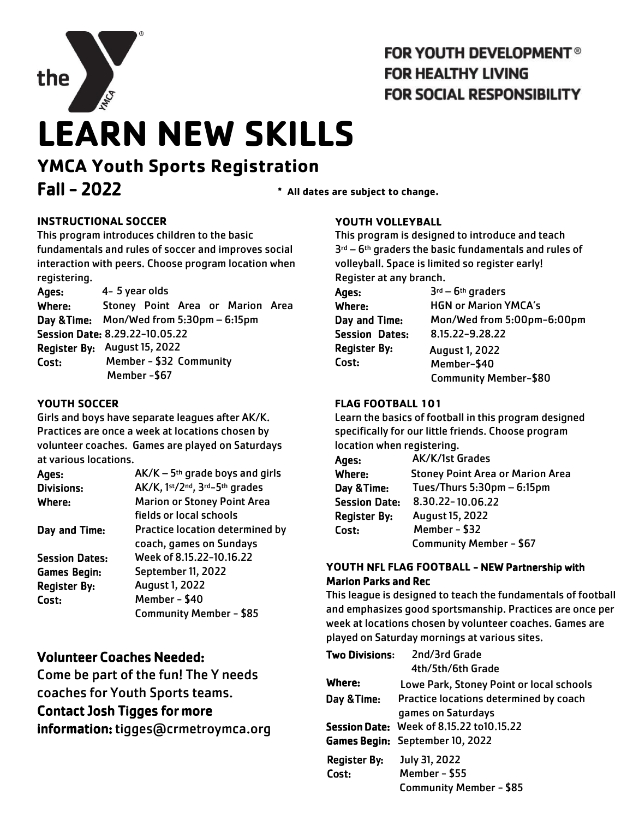

## **FOR YOUTH DEVELOPMENT<sup>®</sup> FOR HEALTHY LIVING FOR SOCIAL RESPONSIBILITY**

# **LEARN NEW SKILLS**

# **YMCA Youth Sports Registration** Fall - 2022 **\* All dates are subject to change.**

#### **INSTRUCTIONAL SOCCER**

This program introduces children to the basic fundamentals and rules of soccer and improves social interaction with peers. Choose program location when registering.

| Ages:  | 4-5 year olds                            |
|--------|------------------------------------------|
| Where: | Stoney Point Area or Marion Area         |
|        | Day & Time: Mon/Wed from 5:30pm - 6:15pm |
|        | Session Date: 8.29.22-10.05.22           |
|        | Register By: August 15, 2022             |
| Cost:  | Member - \$32 Community                  |
|        | Member-\$67                              |

#### **YOUTH SOCCER**

Girls and boys have separate leagues after AK/K. Practices are once a week at locations chosen by volunteer coaches. Games are played on Saturdays at various locations.

| Ages:                 | $AK/K - 5th$ grade boys and girls  |
|-----------------------|------------------------------------|
| <b>Divisions:</b>     | AK/K, 1st/2nd, 3rd-5th grades      |
| Where:                | <b>Marion or Stoney Point Area</b> |
|                       | fields or local schools            |
| Day and Time:         | Practice location determined by    |
|                       | coach, games on Sundays            |
| <b>Session Dates:</b> | Week of 8.15.22-10.16.22           |
| <b>Games Begin:</b>   | September 11, 2022                 |
| <b>Register By:</b>   | <b>August 1, 2022</b>              |
| Cost:                 | Member - \$40                      |
|                       | <b>Community Member - \$85</b>     |
|                       |                                    |

### Volunteer Coaches Needed:

Come be part of the fun! The Y needs coaches for Youth Sports teams. Contact Josh Tigges for more

information: tigges@crmetroymca.org

#### **YOUTH VOLLEYBALL**

This program is designed to introduce and teach 3rd – 6th graders the basic fundamentals and rules of volleyball. Space is limited so register early! Register at any branch.

| Ages:                 | $3rd - 6th$ graders          |
|-----------------------|------------------------------|
| Where:                | <b>HGN or Marion YMCA's</b>  |
| Day and Time:         | Mon/Wed from 5:00pm-6:00pm   |
| <b>Session Dates:</b> | 8.15.22-9.28.22              |
| <b>Register By:</b>   | <b>August 1, 2022</b>        |
| Cost:                 | Member-\$40                  |
|                       | <b>Community Member-\$80</b> |

#### **FLAG FOOTBALL 101**

Learn the basics of football in this program designed specifically for our little friends. Choose program location when registering.

| Ages:                | AK/K/1st Grades                         |
|----------------------|-----------------------------------------|
| Where:               | <b>Stoney Point Area or Marion Area</b> |
| Day & Time:          | Tues/Thurs 5:30pm - 6:15pm              |
| <b>Session Date:</b> | 8.30.22-10.06.22                        |
| <b>Register By:</b>  | <b>August 15, 2022</b>                  |
| Cost:                | Member - \$32                           |
|                      | Community Member - \$67                 |

#### **YOUTH** NFL **FLAG FOOTBALL** - NEW Partnership with Marion Parks and Rec

This league is designed to teach the fundamentals of football and emphasizes good sportsmanship. Practices are once per week at locations chosen by volunteer coaches. Games are played on Saturday mornings at various sites.

| <b>Two Divisions:</b>        | 2nd/3rd Grade<br>4th/5th/6th Grade                                                         |
|------------------------------|--------------------------------------------------------------------------------------------|
| Where:                       | Lowe Park, Stoney Point or local schools                                                   |
| Day & Time:                  | Practice locations determined by coach<br>games on Saturdays                               |
|                              | <b>Session Date: Week of 8.15.22 to 10.15.22</b><br><b>Games Begin:</b> September 10, 2022 |
| <b>Register By:</b><br>Cost: | July 31, 2022<br>Member - \$55<br><b>Community Member - \$85</b>                           |